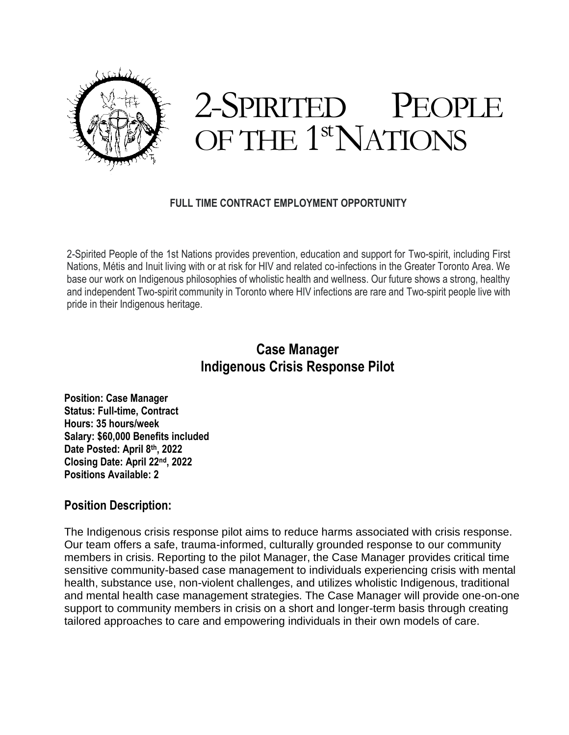

# 2-SPIRITED PEOPLE OF THE 1<sup>st</sup>NATIONS

#### **FULL TIME CONTRACT EMPLOYMENT OPPORTUNITY**

2-Spirited People of the 1st Nations provides prevention, education and support for Two-spirit, including First Nations, Métis and Inuit living with or at risk for HIV and related co-infections in the Greater Toronto Area. We base our work on Indigenous philosophies of wholistic health and wellness. Our future shows a strong, healthy and independent Two-spirit community in Toronto where HIV infections are rare and Two-spirit people live with pride in their Indigenous heritage.

# **Case Manager Indigenous Crisis Response Pilot**

**Position: Case Manager Status: Full-time, Contract Hours: 35 hours/week Salary: \$60,000 Benefits included Date Posted: April 8th, 2022 Closing Date: April 22nd, 2022 Positions Available: 2**

#### **Position Description:**

The Indigenous crisis response pilot aims to reduce harms associated with crisis response. Our team offers a safe, trauma-informed, culturally grounded response to our community members in crisis. Reporting to the pilot Manager, the Case Manager provides critical time sensitive community-based case management to individuals experiencing crisis with mental health, substance use, non-violent challenges, and utilizes wholistic Indigenous, traditional and mental health case management strategies. The Case Manager will provide one-on-one support to community members in crisis on a short and longer-term basis through creating tailored approaches to care and empowering individuals in their own models of care.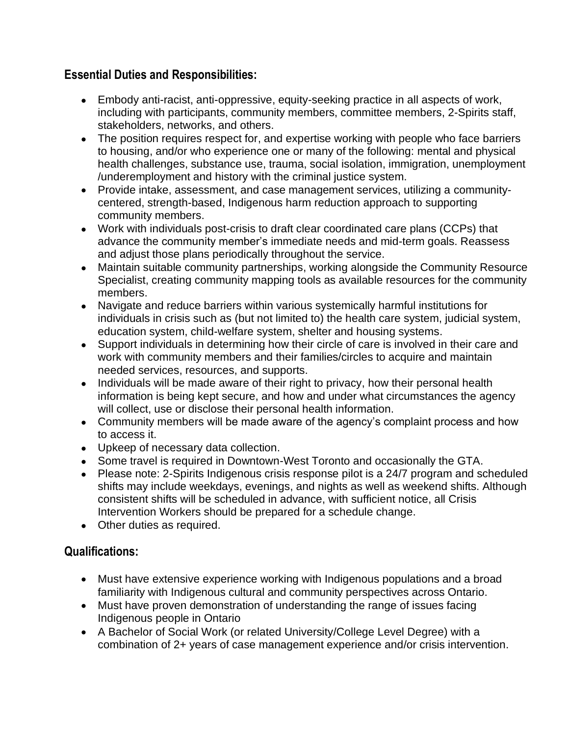### **Essential Duties and Responsibilities:**

- Embody anti-racist, anti-oppressive, equity-seeking practice in all aspects of work, including with participants, community members, committee members, 2-Spirits staff, stakeholders, networks, and others.
- The position requires respect for, and expertise working with people who face barriers to housing, and/or who experience one or many of the following: mental and physical health challenges, substance use, trauma, social isolation, immigration, unemployment /underemployment and history with the criminal justice system.
- Provide intake, assessment, and case management services, utilizing a communitycentered, strength-based, Indigenous harm reduction approach to supporting community members.
- Work with individuals post-crisis to draft clear coordinated care plans (CCPs) that advance the community member's immediate needs and mid-term goals. Reassess and adjust those plans periodically throughout the service.
- Maintain suitable community partnerships, working alongside the Community Resource Specialist, creating community mapping tools as available resources for the community members.
- Navigate and reduce barriers within various systemically harmful institutions for individuals in crisis such as (but not limited to) the health care system, judicial system, education system, child-welfare system, shelter and housing systems.
- Support individuals in determining how their circle of care is involved in their care and work with community members and their families/circles to acquire and maintain needed services, resources, and supports.
- Individuals will be made aware of their right to privacy, how their personal health information is being kept secure, and how and under what circumstances the agency will collect, use or disclose their personal health information.
- Community members will be made aware of the agency's complaint process and how to access it.
- Upkeep of necessary data collection.
- Some travel is required in Downtown-West Toronto and occasionally the GTA.
- Please note: 2-Spirits Indigenous crisis response pilot is a 24/7 program and scheduled shifts may include weekdays, evenings, and nights as well as weekend shifts. Although consistent shifts will be scheduled in advance, with sufficient notice, all Crisis Intervention Workers should be prepared for a schedule change.
- Other duties as required.

## **Qualifications:**

- Must have extensive experience working with Indigenous populations and a broad familiarity with Indigenous cultural and community perspectives across Ontario.
- Must have proven demonstration of understanding the range of issues facing Indigenous people in Ontario
- A Bachelor of Social Work (or related University/College Level Degree) with a combination of 2+ years of case management experience and/or crisis intervention.